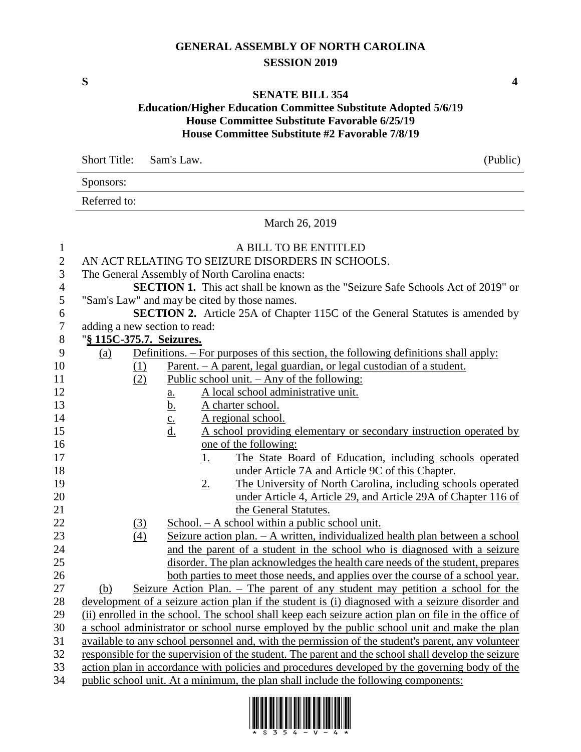## **GENERAL ASSEMBLY OF NORTH CAROLINA SESSION 2019**

**S 4**

## **SENATE BILL 354**

## **Education/Higher Education Committee Substitute Adopted 5/6/19 House Committee Substitute Favorable 6/25/19 House Committee Substitute #2 Favorable 7/8/19**

|                | <b>Short Title:</b>                                                                                                                                                                                  | Sam's Law.                                                                                 | (Public) |  |  |
|----------------|------------------------------------------------------------------------------------------------------------------------------------------------------------------------------------------------------|--------------------------------------------------------------------------------------------|----------|--|--|
|                | Sponsors:                                                                                                                                                                                            |                                                                                            |          |  |  |
|                | Referred to:                                                                                                                                                                                         |                                                                                            |          |  |  |
|                | March 26, 2019                                                                                                                                                                                       |                                                                                            |          |  |  |
| $\mathbf{1}$   |                                                                                                                                                                                                      | A BILL TO BE ENTITLED                                                                      |          |  |  |
| $\sqrt{2}$     | AN ACT RELATING TO SEIZURE DISORDERS IN SCHOOLS.                                                                                                                                                     |                                                                                            |          |  |  |
| 3              |                                                                                                                                                                                                      | The General Assembly of North Carolina enacts:                                             |          |  |  |
| $\overline{4}$ |                                                                                                                                                                                                      | <b>SECTION 1.</b> This act shall be known as the "Seizure Safe Schools Act of 2019" or     |          |  |  |
| 5              |                                                                                                                                                                                                      | "Sam's Law" and may be cited by those names.                                               |          |  |  |
| 6              |                                                                                                                                                                                                      | SECTION 2. Article 25A of Chapter 115C of the General Statutes is amended by               |          |  |  |
| $\tau$         | adding a new section to read:                                                                                                                                                                        |                                                                                            |          |  |  |
| $8\phantom{1}$ | "§ 115C-375.7. Seizures.                                                                                                                                                                             |                                                                                            |          |  |  |
| 9              | (a)                                                                                                                                                                                                  | <u>Definitions. – For purposes of this section, the following definitions shall apply:</u> |          |  |  |
| 10             |                                                                                                                                                                                                      | Parent. - A parent, legal guardian, or legal custodian of a student.<br>$\Omega$           |          |  |  |
| 11             |                                                                                                                                                                                                      | Public school unit. $-$ Any of the following:<br>(2)                                       |          |  |  |
| 12             |                                                                                                                                                                                                      | A local school administrative unit.<br><u>a.</u>                                           |          |  |  |
| 13             |                                                                                                                                                                                                      | <u>b.</u><br>A charter school.                                                             |          |  |  |
| 14             |                                                                                                                                                                                                      | $\underline{c}$ .<br>A regional school.                                                    |          |  |  |
| 15             |                                                                                                                                                                                                      | $\underline{d}$ .<br>A school providing elementary or secondary instruction operated by    |          |  |  |
| 16             |                                                                                                                                                                                                      | one of the following:                                                                      |          |  |  |
| 17             |                                                                                                                                                                                                      | The State Board of Education, including schools operated<br><u>1.</u>                      |          |  |  |
| 18             |                                                                                                                                                                                                      | under Article 7A and Article 9C of this Chapter.                                           |          |  |  |
| 19             |                                                                                                                                                                                                      | 2.<br>The University of North Carolina, including schools operated                         |          |  |  |
| 20             |                                                                                                                                                                                                      | under Article 4, Article 29, and Article 29A of Chapter 116 of                             |          |  |  |
| 21             |                                                                                                                                                                                                      | the General Statutes.                                                                      |          |  |  |
| 22             |                                                                                                                                                                                                      | $School. - A school within a public school unit.$<br><u>(3)</u>                            |          |  |  |
| 23             | Seizure action plan. - A written, individualized health plan between a school<br>(4)                                                                                                                 |                                                                                            |          |  |  |
| 24             | and the parent of a student in the school who is diagnosed with a seizure                                                                                                                            |                                                                                            |          |  |  |
| 25             | disorder. The plan acknowledges the health care needs of the student, prepares                                                                                                                       |                                                                                            |          |  |  |
| 26             |                                                                                                                                                                                                      | <u>both parties to meet those needs, and applies over the course of a school year.</u>     |          |  |  |
| 27             | (b)                                                                                                                                                                                                  | Seizure Action Plan. - The parent of any student may petition a school for the             |          |  |  |
| 28             | development of a seizure action plan if the student is (i) diagnosed with a seizure disorder and                                                                                                     |                                                                                            |          |  |  |
| 29             | (ii) enrolled in the school. The school shall keep each seizure action plan on file in the office of                                                                                                 |                                                                                            |          |  |  |
| 30             | a school administrator or school nurse employed by the public school unit and make the plan                                                                                                          |                                                                                            |          |  |  |
| 31             | available to any school personnel and, with the permission of the student's parent, any volunteer                                                                                                    |                                                                                            |          |  |  |
| 32<br>33       | responsible for the supervision of the student. The parent and the school shall develop the seizure<br>action plan in accordance with policies and procedures developed by the governing body of the |                                                                                            |          |  |  |
|                |                                                                                                                                                                                                      |                                                                                            |          |  |  |

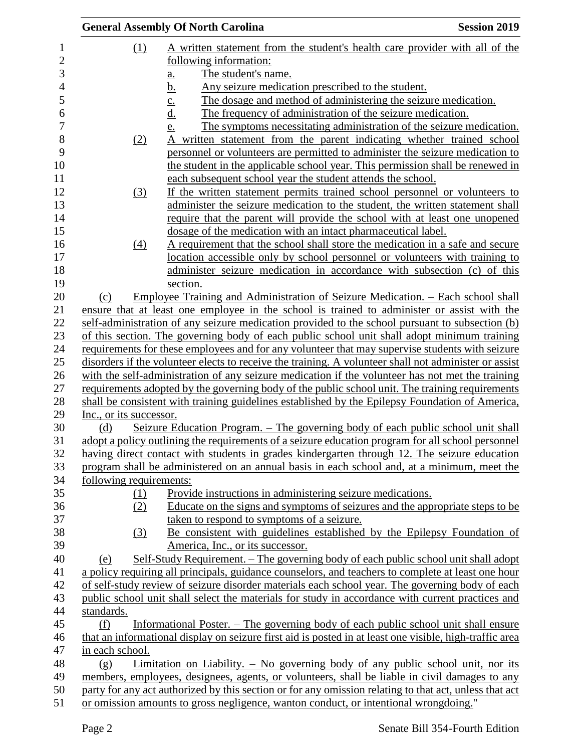| (1)<br>A written statement from the student's health care provider with all of the<br>following information:<br>3<br>The student's name.<br><u>a.</u><br>Any seizure medication prescribed to the student.<br><u>b.</u>    |  |  |
|----------------------------------------------------------------------------------------------------------------------------------------------------------------------------------------------------------------------------|--|--|
|                                                                                                                                                                                                                            |  |  |
|                                                                                                                                                                                                                            |  |  |
|                                                                                                                                                                                                                            |  |  |
|                                                                                                                                                                                                                            |  |  |
| The dosage and method of administering the seizure medication.<br>$\overline{c}$ .                                                                                                                                         |  |  |
| <u>d.</u><br>The frequency of administration of the seizure medication.                                                                                                                                                    |  |  |
| The symptoms necessitating administration of the seizure medication.<br>e.                                                                                                                                                 |  |  |
| written statement from the parent indicating whether trained school<br>(2)<br>A                                                                                                                                            |  |  |
| personnel or volunteers are permitted to administer the seizure medication to                                                                                                                                              |  |  |
| the student in the applicable school year. This permission shall be renewed in                                                                                                                                             |  |  |
| each subsequent school year the student attends the school.                                                                                                                                                                |  |  |
| (3)<br>If the written statement permits trained school personnel or volunteers to                                                                                                                                          |  |  |
| administer the seizure medication to the student, the written statement shall                                                                                                                                              |  |  |
| require that the parent will provide the school with at least one unopened                                                                                                                                                 |  |  |
| dosage of the medication with an intact pharmaceutical label.                                                                                                                                                              |  |  |
| A requirement that the school shall store the medication in a safe and secure<br>(4)                                                                                                                                       |  |  |
| location accessible only by school personnel or volunteers with training to                                                                                                                                                |  |  |
| administer seizure medication in accordance with subsection (c) of this                                                                                                                                                    |  |  |
| section.                                                                                                                                                                                                                   |  |  |
| <u>Employee Training and Administration of Seizure Medication. – Each school shall</u><br>(c)                                                                                                                              |  |  |
| ensure that at least one employee in the school is trained to administer or assist with the                                                                                                                                |  |  |
| self-administration of any seizure medication provided to the school pursuant to subsection (b)                                                                                                                            |  |  |
| of this section. The governing body of each public school unit shall adopt minimum training                                                                                                                                |  |  |
| requirements for these employees and for any volunteer that may supervise students with seizure                                                                                                                            |  |  |
| disorders if the volunteer elects to receive the training. A volunteer shall not administer or assist                                                                                                                      |  |  |
| with the self-administration of any seizure medication if the volunteer has not met the training                                                                                                                           |  |  |
| requirements adopted by the governing body of the public school unit. The training requirements                                                                                                                            |  |  |
| shall be consistent with training guidelines established by the Epilepsy Foundation of America,                                                                                                                            |  |  |
| Inc., or its successor.                                                                                                                                                                                                    |  |  |
| <u> Seizure Education Program. – The governing body of each public school unit shall</u><br>(d)                                                                                                                            |  |  |
| adopt a policy outlining the requirements of a seizure education program for all school personnel                                                                                                                          |  |  |
| having direct contact with students in grades kindergarten through 12. The seizure education                                                                                                                               |  |  |
| program shall be administered on an annual basis in each school and, at a minimum, meet the                                                                                                                                |  |  |
| following requirements:                                                                                                                                                                                                    |  |  |
| Provide instructions in administering seizure medications.<br>(1)                                                                                                                                                          |  |  |
| Educate on the signs and symptoms of seizures and the appropriate steps to be<br>(2)                                                                                                                                       |  |  |
| taken to respond to symptoms of a seizure.                                                                                                                                                                                 |  |  |
| Be consistent with guidelines established by the Epilepsy Foundation of<br>(3)                                                                                                                                             |  |  |
| America, Inc., or its successor.                                                                                                                                                                                           |  |  |
| Self-Study Requirement. – The governing body of each public school unit shall adopt<br>(e)                                                                                                                                 |  |  |
| a policy requiring all principals, guidance counselors, and teachers to complete at least one hour                                                                                                                         |  |  |
| of self-study review of seizure disorder materials each school year. The governing body of each                                                                                                                            |  |  |
| public school unit shall select the materials for study in accordance with current practices and                                                                                                                           |  |  |
| standards.<br>(f)                                                                                                                                                                                                          |  |  |
| Informational Poster. – The governing body of each public school unit shall ensure<br>that an informational display on seizure first aid is posted in at least one visible, high-traffic area                              |  |  |
|                                                                                                                                                                                                                            |  |  |
|                                                                                                                                                                                                                            |  |  |
|                                                                                                                                                                                                                            |  |  |
| <u>Limitation on Liability. <math>-</math> No governing body of any public school unit, nor its</u><br>(g)                                                                                                                 |  |  |
| in each school.<br>members, employees, designees, agents, or volunteers, shall be liable in civil damages to any<br>party for any act authorized by this section or for any omission relating to that act, unless that act |  |  |